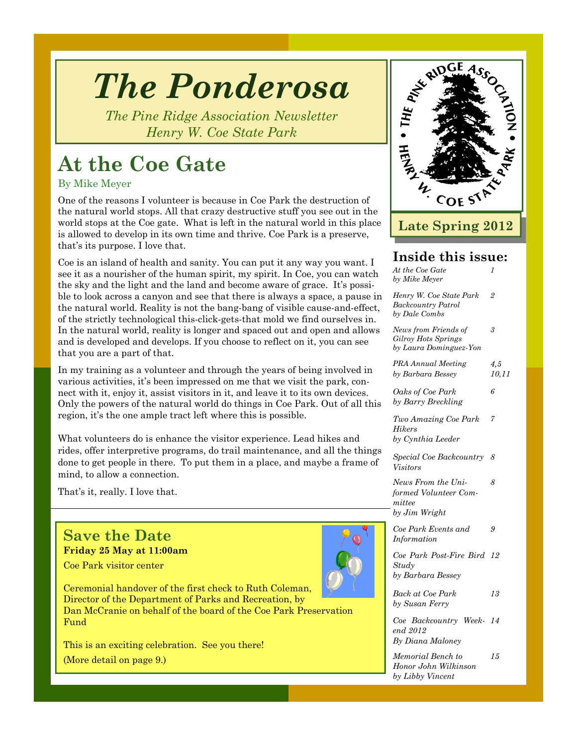# *The Ponderosa*

*The Pine Ridge Association Newsletter Henry W. Coe State Park* 

### **At the Coe Gate**

By Mike Meyer

One of the reasons I volunteer is because in Coe Park the destruction of the natural world stops. All that crazy destructive stuff you see out in the world stops at the Coe gate. What is left in the natural world in this place is allowed to develop in its own time and thrive. Coe Park is a preserve, that's its purpose. I love that.

Coe is an island of health and sanity. You can put it any way you want. I see it as a nourisher of the human spirit, my spirit. In Coe, you can watch the sky and the light and the land and become aware of grace. It's possible to look across a canyon and see that there is always a space, a pause in the natural world. Reality is not the bang-bang of visible cause-and-effect, of the strictly technological this-click-gets-that mold we find ourselves in. In the natural world, reality is longer and spaced out and open and allows and is developed and develops. If you choose to reflect on it, you can see that you are a part of that.

In my training as a volunteer and through the years of being involved in various activities, it's been impressed on me that we visit the park, connect with it, enjoy it, assist visitors in it, and leave it to its own devices. Only the powers of the natural world do things in Coe Park. Out of all this region, it's the one ample tract left where this is possible.

What volunteers do is enhance the visitor experience. Lead hikes and rides, offer interpretive programs, do trail maintenance, and all the things done to get people in there. To put them in a place, and maybe a frame of mind, to allow a connection.

That's it, really. I love that.

#### **Save the Date Friday 25 May at 11:00am**

Coe Park visitor center



This is an exciting celebration. See you there!

(More detail on page 9.)



### **Inside this issue:**

| At the Coe Gate<br>by Mike Meyer                                       | 1              |
|------------------------------------------------------------------------|----------------|
| Henry W. Coe State Park<br><b>Backcountry Patrol</b><br>by Dale Combs  | $\overline{2}$ |
| News from Friends of<br>Gilroy Hots Springs<br>by Laura Dominguez-Yon  | 3              |
| <b>PRA Annual Meeting</b><br>by Barbara Bessey                         | 4,5<br>10,11   |
| Oaks of Coe Park<br>by Barry Breckling                                 | 6              |
| Two Amazing Coe Park<br><b>Hikers</b><br>by Cynthia Leeder             | 7              |
| Special Coe Backcountry<br><i>Visitors</i>                             | 8              |
| News From the Uni-<br>formed Volunteer Com-<br>mittee<br>by Jim Wright | 8              |
| Coe Park Events and<br>Information                                     | 9              |
| Coe Park Post-Fire Bird<br>Study<br>by Barbara Bessey                  | 12             |
| Back at Coe Park<br>by Susan Ferry                                     | 13             |
| Coe Backcountry Week- 14<br>end 2012<br>By Diana Maloney               |                |
| Memorial Bench to<br>Honor John Wilkinson                              | 15             |

*by Libby Vincent*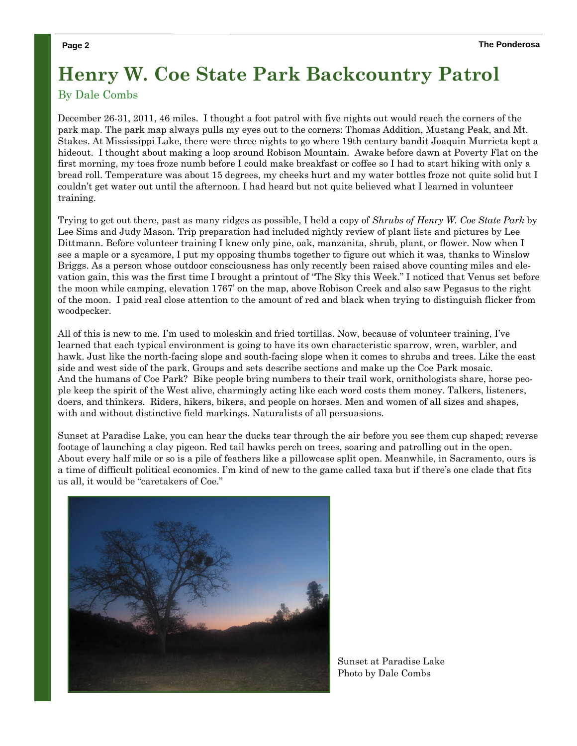### **Henry W. Coe State Park Backcountry Patrol**

#### By Dale Combs

December 26-31, 2011, 46 miles. I thought a foot patrol with five nights out would reach the corners of the park map. The park map always pulls my eyes out to the corners: Thomas Addition, Mustang Peak, and Mt. Stakes. At Mississippi Lake, there were three nights to go where 19th century bandit Joaquin Murrieta kept a hideout. I thought about making a loop around Robison Mountain. Awake before dawn at Poverty Flat on the first morning, my toes froze numb before I could make breakfast or coffee so I had to start hiking with only a bread roll. Temperature was about 15 degrees, my cheeks hurt and my water bottles froze not quite solid but I couldn't get water out until the afternoon. I had heard but not quite believed what I learned in volunteer training.

Trying to get out there, past as many ridges as possible, I held a copy of *Shrubs of Henry W. Coe State Park* by Lee Sims and Judy Mason. Trip preparation had included nightly review of plant lists and pictures by Lee Dittmann. Before volunteer training I knew only pine, oak, manzanita, shrub, plant, or flower. Now when I see a maple or a sycamore, I put my opposing thumbs together to figure out which it was, thanks to Winslow Briggs. As a person whose outdoor consciousness has only recently been raised above counting miles and elevation gain, this was the first time I brought a printout of "The Sky this Week." I noticed that Venus set before the moon while camping, elevation 1767' on the map, above Robison Creek and also saw Pegasus to the right of the moon. I paid real close attention to the amount of red and black when trying to distinguish flicker from woodpecker.

All of this is new to me. I'm used to moleskin and fried tortillas. Now, because of volunteer training, I've learned that each typical environment is going to have its own characteristic sparrow, wren, warbler, and hawk. Just like the north-facing slope and south-facing slope when it comes to shrubs and trees. Like the east side and west side of the park. Groups and sets describe sections and make up the Coe Park mosaic. And the humans of Coe Park? Bike people bring numbers to their trail work, ornithologists share, horse people keep the spirit of the West alive, charmingly acting like each word costs them money. Talkers, listeners, doers, and thinkers. Riders, hikers, bikers, and people on horses. Men and women of all sizes and shapes, with and without distinctive field markings. Naturalists of all persuasions.

Sunset at Paradise Lake, you can hear the ducks tear through the air before you see them cup shaped; reverse footage of launching a clay pigeon. Red tail hawks perch on trees, soaring and patrolling out in the open. About every half mile or so is a pile of feathers like a pillowcase split open. Meanwhile, in Sacramento, ours is a time of difficult political economics. I'm kind of new to the game called taxa but if there's one clade that fits us all, it would be "caretakers of Coe."



Sunset at Paradise Lake Photo by Dale Combs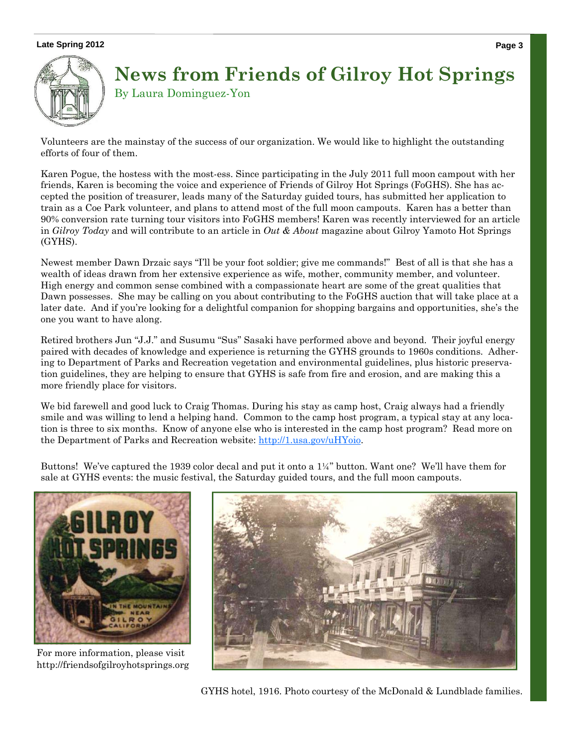#### Late Spring 2012 **Page 3**



### **News from Friends of Gilroy Hot Springs** By Laura Dominguez-Yon

Volunteers are the mainstay of the success of our organization. We would like to highlight the outstanding efforts of four of them.

Karen Pogue, the hostess with the most-ess. Since participating in the July 2011 full moon campout with her friends, Karen is becoming the voice and experience of Friends of Gilroy Hot Springs (FoGHS). She has accepted the position of treasurer, leads many of the Saturday guided tours, has submitted her application to train as a Coe Park volunteer, and plans to attend most of the full moon campouts. Karen has a better than 90% conversion rate turning tour visitors into FoGHS members! Karen was recently interviewed for an article in *Gilroy Today* and will contribute to an article in *Out & About* magazine about Gilroy Yamoto Hot Springs (GYHS).

Newest member Dawn Drzaic says "I'll be your foot soldier; give me commands!" Best of all is that she has a wealth of ideas drawn from her extensive experience as wife, mother, community member, and volunteer. High energy and common sense combined with a compassionate heart are some of the great qualities that Dawn possesses. She may be calling on you about contributing to the FoGHS auction that will take place at a later date. And if you're looking for a delightful companion for shopping bargains and opportunities, she's the one you want to have along.

Retired brothers Jun "J.J." and Susumu "Sus" Sasaki have performed above and beyond. Their joyful energy paired with decades of knowledge and experience is returning the GYHS grounds to 1960s conditions. Adhering to Department of Parks and Recreation vegetation and environmental guidelines, plus historic preservation guidelines, they are helping to ensure that GYHS is safe from fire and erosion, and are making this a more friendly place for visitors.

We bid farewell and good luck to Craig Thomas. During his stay as camp host, Craig always had a friendly smile and was willing to lend a helping hand. Common to the camp host program, a typical stay at any location is three to six months. Know of anyone else who is interested in the camp host program? Read more on the Department of Parks and Recreation website: http://1.usa.gov/uHYoio.

Buttons! We've captured the 1939 color decal and put it onto a 1¼" button. Want one? We'll have them for sale at GYHS events: the music festival, the Saturday guided tours, and the full moon campouts.



For more information, please visit http://friendsofgilroyhotsprings.org



GYHS hotel, 1916. Photo courtesy of the McDonald & Lundblade families.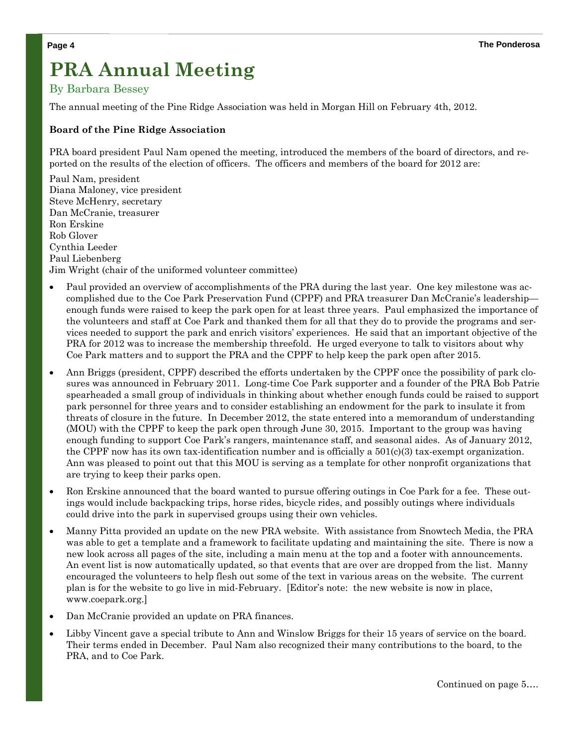### **PRA Annual Meeting**

#### By Barbara Bessey

The annual meeting of the Pine Ridge Association was held in Morgan Hill on February 4th, 2012.

#### **Board of the Pine Ridge Association**

PRA board president Paul Nam opened the meeting, introduced the members of the board of directors, and reported on the results of the election of officers. The officers and members of the board for 2012 are:

Paul Nam, president Diana Maloney, vice president Steve McHenry, secretary Dan McCranie, treasurer Ron Erskine Rob Glover Cynthia Leeder Paul Liebenberg Jim Wright (chair of the uniformed volunteer committee)

- Paul provided an overview of accomplishments of the PRA during the last year. One key milestone was accomplished due to the Coe Park Preservation Fund (CPPF) and PRA treasurer Dan McCranie's leadership enough funds were raised to keep the park open for at least three years. Paul emphasized the importance of the volunteers and staff at Coe Park and thanked them for all that they do to provide the programs and services needed to support the park and enrich visitors' experiences. He said that an important objective of the PRA for 2012 was to increase the membership threefold. He urged everyone to talk to visitors about why Coe Park matters and to support the PRA and the CPPF to help keep the park open after 2015.
- Ann Briggs (president, CPPF) described the efforts undertaken by the CPPF once the possibility of park closures was announced in February 2011. Long-time Coe Park supporter and a founder of the PRA Bob Patrie spearheaded a small group of individuals in thinking about whether enough funds could be raised to support park personnel for three years and to consider establishing an endowment for the park to insulate it from threats of closure in the future. In December 2012, the state entered into a memorandum of understanding (MOU) with the CPPF to keep the park open through June 30, 2015. Important to the group was having enough funding to support Coe Park's rangers, maintenance staff, and seasonal aides. As of January 2012, the CPPF now has its own tax-identification number and is officially a  $501(c)(3)$  tax-exempt organization. Ann was pleased to point out that this MOU is serving as a template for other nonprofit organizations that are trying to keep their parks open.
- Ron Erskine announced that the board wanted to pursue offering outings in Coe Park for a fee. These outings would include backpacking trips, horse rides, bicycle rides, and possibly outings where individuals could drive into the park in supervised groups using their own vehicles.
- Manny Pitta provided an update on the new PRA website. With assistance from Snowtech Media, the PRA was able to get a template and a framework to facilitate updating and maintaining the site. There is now a new look across all pages of the site, including a main menu at the top and a footer with announcements. An event list is now automatically updated, so that events that are over are dropped from the list. Manny encouraged the volunteers to help flesh out some of the text in various areas on the website. The current plan is for the website to go live in mid-February. [Editor's note: the new website is now in place, www.coepark.org.]
- Dan McCranie provided an update on PRA finances.
- Libby Vincent gave a special tribute to Ann and Winslow Briggs for their 15 years of service on the board. Their terms ended in December. Paul Nam also recognized their many contributions to the board, to the PRA, and to Coe Park.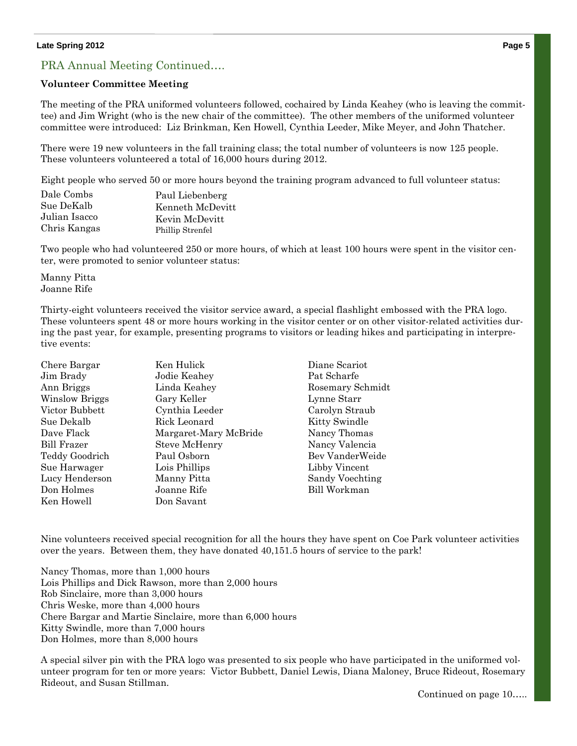#### **Late Spring 2012 Page 5**

#### PRA Annual Meeting Continued….

#### **Volunteer Committee Meeting**

The meeting of the PRA uniformed volunteers followed, cochaired by Linda Keahey (who is leaving the committee) and Jim Wright (who is the new chair of the committee). The other members of the uniformed volunteer committee were introduced: Liz Brinkman, Ken Howell, Cynthia Leeder, Mike Meyer, and John Thatcher.

There were 19 new volunteers in the fall training class; the total number of volunteers is now 125 people. These volunteers volunteered a total of 16,000 hours during 2012.

Eight people who served 50 or more hours beyond the training program advanced to full volunteer status:

| Dale Combs    | Paul Liebenberg  |
|---------------|------------------|
| Sue DeKalb    | Kenneth McDevitt |
| Julian Isacco | Kevin McDevitt   |
| Chris Kangas  | Phillip Strenfel |

Two people who had volunteered 250 or more hours, of which at least 100 hours were spent in the visitor center, were promoted to senior volunteer status:

Manny Pitta Joanne Rife

Thirty-eight volunteers received the visitor service award, a special flashlight embossed with the PRA logo. These volunteers spent 48 or more hours working in the visitor center or on other visitor-related activities during the past year, for example, presenting programs to visitors or leading hikes and participating in interpretive events:

| Chere Bargar   | Ken Hulick            |
|----------------|-----------------------|
| Jim Brady      | Jodie Keahev          |
| Ann Briggs     | Linda Keahey          |
| Winslow Briggs | Gary Keller           |
| Victor Bubbett | Cynthia Leeder        |
| Sue Dekalb     | Rick Leonard          |
| Dave Flack     | Margaret-Mary McBride |
| Bill Frazer    | <b>Steve McHenry</b>  |
| Teddy Goodrich | Paul Osborn           |
| Sue Harwager   | Lois Phillips         |
| Lucy Henderson | Manny Pitta           |
| Don Holmes     | Joanne Rife           |
| Ken Howell     | Don Savant            |

Diane Scariot Pat Scharfe Rosemary Schmidt Lynne Starr Carolyn Straub Kitty Swindle Nancy Thomas Nancy Valencia Bev VanderWeide Libby Vincent Sandy Voechting Bill Workman

Nine volunteers received special recognition for all the hours they have spent on Coe Park volunteer activities over the years. Between them, they have donated 40,151.5 hours of service to the park!

Nancy Thomas, more than 1,000 hours Lois Phillips and Dick Rawson, more than 2,000 hours Rob Sinclaire, more than 3,000 hours Chris Weske, more than 4,000 hours Chere Bargar and Martie Sinclaire, more than 6,000 hours Kitty Swindle, more than 7,000 hours Don Holmes, more than 8,000 hours

A special silver pin with the PRA logo was presented to six people who have participated in the uniformed volunteer program for ten or more years: Victor Bubbett, Daniel Lewis, Diana Maloney, Bruce Rideout, Rosemary Rideout, and Susan Stillman.

Continued on page 10…..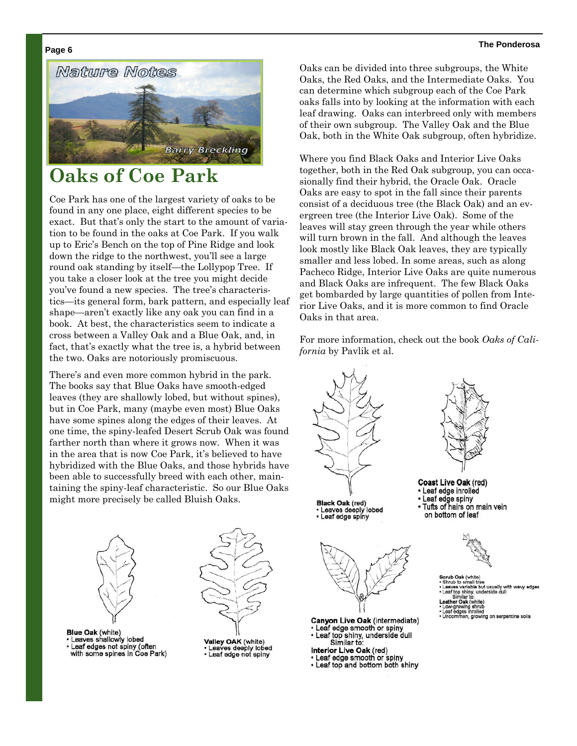

### **Oaks of Coe Park**

Coe Park has one of the largest variety of oaks to be found in any one place, eight different species to be exact. But that's only the start to the amount of variation to be found in the oaks at Coe Park. If you walk up to Eric's Bench on the top of Pine Ridge and look down the ridge to the northwest, you'll see a large round oak standing by itself—the Lollypop Tree. If you take a closer look at the tree you might decide you've found a new species. The tree's characteristics—its general form, bark pattern, and especially leaf shape—aren't exactly like any oak you can find in a book. At best, the characteristics seem to indicate a cross between a Valley Oak and a Blue Oak, and, in fact, that's exactly what the tree is, a hybrid between the two. Oaks are notoriously promiscuous.

There's and even more common hybrid in the park. The books say that Blue Oaks have smooth-edged leaves (they are shallowly lobed, but without spines), but in Coe Park, many (maybe even most) Blue Oaks have some spines along the edges of their leaves. At one time, the spiny-leafed Desert Scrub Oak was found farther north than where it grows now. When it was in the area that is now Coe Park, it's believed to have hybridized with the Blue Oaks, and those hybrids have been able to successfully breed with each other, maintaining the spiny-leaf characteristic. So our Blue Oaks might more precisely be called Bluish Oaks.



- **Blue Oak (white)** Leaves shallowly lobed
- Leaf edges not spiny (often<br>with some spines in Coe Park)



Valley OAK (white) Leaves deeply lobed<br>Leaf edge not spiny

Oaks can be divided into three subgroups, the White Oaks, the Red Oaks, and the Intermediate Oaks. You can determine which subgroup each of the Coe Park oaks falls into by looking at the information with each leaf drawing. Oaks can interbreed only with members of their own subgroup. The Valley Oak and the Blue Oak, both in the White Oak subgroup, often hybridize.

Where you find Black Oaks and Interior Live Oaks together, both in the Red Oak subgroup, you can occasionally find their hybrid, the Oracle Oak. Oracle Oaks are easy to spot in the fall since their parents consist of a deciduous tree (the Black Oak) and an evergreen tree (the Interior Live Oak). Some of the leaves will stay green through the year while others will turn brown in the fall. And although the leaves look mostly like Black Oak leaves, they are typically smaller and less lobed. In some areas, such as along Pacheco Ridge, Interior Live Oaks are quite numerous and Black Oaks are infrequent. The few Black Oaks get bombarded by large quantities of pollen from Interior Live Oaks, and it is more common to find Oracle Oaks in that area.

For more information, check out the book *Oaks of California* by Pavlik et al.



**Black Oak (red)** eaves deeply lobed • Leaf edge spiny



Canyon Live Oak (intermediate) • Leaf edge smooth or spiny Leaf top shiny, underside dull Similar to:

- Interior Live Oak (red)
- Leaf edge smooth or spiny . Leaf top and bottom both shiny
- 



- Coast Live Oak (red) · Leaf edge inrolled • Leaf edge spiny
- Tufts of hairs on main vein on bottom of leaf



- **Scrub Oak (wh**
- Scrub dat (write)<br>Shrub to small tree<br>Leaves variable but<br>Leaf top shiny, unde<br>Similar to:<br>eather Oak (white)<br>Low-growing shrub<br>Leaf edges inrolled
- 
- **ither Oak** (whi<br>xw-growing shr<br>eaf edges inroll<br>ncommon, gro
- on serpentine soils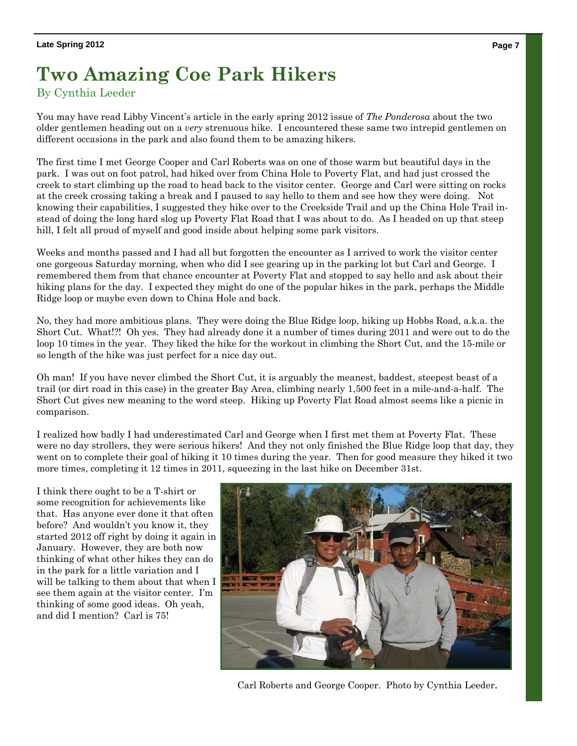## **Two Amazing Coe Park Hikers**

#### By Cynthia Leeder

You may have read Libby Vincent's article in the early spring 2012 issue of *The Ponderosa* about the two older gentlemen heading out on a *very* strenuous hike. I encountered these same two intrepid gentlemen on different occasions in the park and also found them to be amazing hikers.

The first time I met George Cooper and Carl Roberts was on one of those warm but beautiful days in the park. I was out on foot patrol, had hiked over from China Hole to Poverty Flat, and had just crossed the creek to start climbing up the road to head back to the visitor center. George and Carl were sitting on rocks at the creek crossing taking a break and I paused to say hello to them and see how they were doing. Not knowing their capabilities, I suggested they hike over to the Creekside Trail and up the China Hole Trail instead of doing the long hard slog up Poverty Flat Road that I was about to do. As I headed on up that steep hill, I felt all proud of myself and good inside about helping some park visitors.

Weeks and months passed and I had all but forgotten the encounter as I arrived to work the visitor center one gorgeous Saturday morning, when who did I see gearing up in the parking lot but Carl and George. I remembered them from that chance encounter at Poverty Flat and stopped to say hello and ask about their hiking plans for the day. I expected they might do one of the popular hikes in the park, perhaps the Middle Ridge loop or maybe even down to China Hole and back.

No, they had more ambitious plans. They were doing the Blue Ridge loop, hiking up Hobbs Road, a.k.a. the Short Cut. What!?! Oh yes. They had already done it a number of times during 2011 and were out to do the loop 10 times in the year. They liked the hike for the workout in climbing the Short Cut, and the 15-mile or so length of the hike was just perfect for a nice day out.

Oh man! If you have never climbed the Short Cut, it is arguably the meanest, baddest, steepest beast of a trail (or dirt road in this case) in the greater Bay Area, climbing nearly 1,500 feet in a mile-and-a-half. The Short Cut gives new meaning to the word steep. Hiking up Poverty Flat Road almost seems like a picnic in comparison.

I realized how badly I had underestimated Carl and George when I first met them at Poverty Flat. These were no day strollers, they were serious hikers! And they not only finished the Blue Ridge loop that day, they went on to complete their goal of hiking it 10 times during the year. Then for good measure they hiked it two more times, completing it 12 times in 2011, squeezing in the last hike on December 31st.

I think there ought to be a T-shirt or some recognition for achievements like that. Has anyone ever done it that often before? And wouldn't you know it, they started 2012 off right by doing it again in January. However, they are both now thinking of what other hikes they can do in the park for a little variation and I will be talking to them about that when I see them again at the visitor center. I'm thinking of some good ideas. Oh yeah, and did I mention? Carl is 75!



Carl Roberts and George Cooper. Photo by Cynthia Leeder.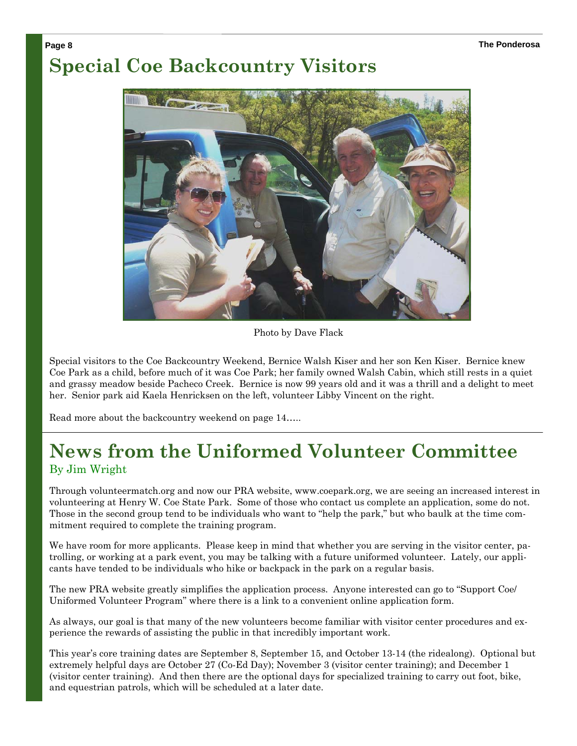### **Page 8 The Ponderosa Special Coe Backcountry Visitors**



Photo by Dave Flack

Special visitors to the Coe Backcountry Weekend, Bernice Walsh Kiser and her son Ken Kiser. Bernice knew Coe Park as a child, before much of it was Coe Park; her family owned Walsh Cabin, which still rests in a quiet and grassy meadow beside Pacheco Creek. Bernice is now 99 years old and it was a thrill and a delight to meet her. Senior park aid Kaela Henricksen on the left, volunteer Libby Vincent on the right.

Read more about the backcountry weekend on page 14…..

### **News from the Uniformed Volunteer Committee**  By Jim Wright

Through volunteermatch.org and now our PRA website, www.coepark.org, we are seeing an increased interest in volunteering at Henry W. Coe State Park. Some of those who contact us complete an application, some do not. Those in the second group tend to be individuals who want to "help the park," but who baulk at the time commitment required to complete the training program.

We have room for more applicants. Please keep in mind that whether you are serving in the visitor center, patrolling, or working at a park event, you may be talking with a future uniformed volunteer. Lately, our applicants have tended to be individuals who hike or backpack in the park on a regular basis.

The new PRA website greatly simplifies the application process. Anyone interested can go to "Support Coe/ Uniformed Volunteer Program" where there is a link to a convenient online application form.

As always, our goal is that many of the new volunteers become familiar with visitor center procedures and experience the rewards of assisting the public in that incredibly important work.

This year's core training dates are September 8, September 15, and October 13-14 (the ridealong). Optional but extremely helpful days are October 27 (Co-Ed Day); November 3 (visitor center training); and December 1 (visitor center training). And then there are the optional days for specialized training to carry out foot, bike, and equestrian patrols, which will be scheduled at a later date.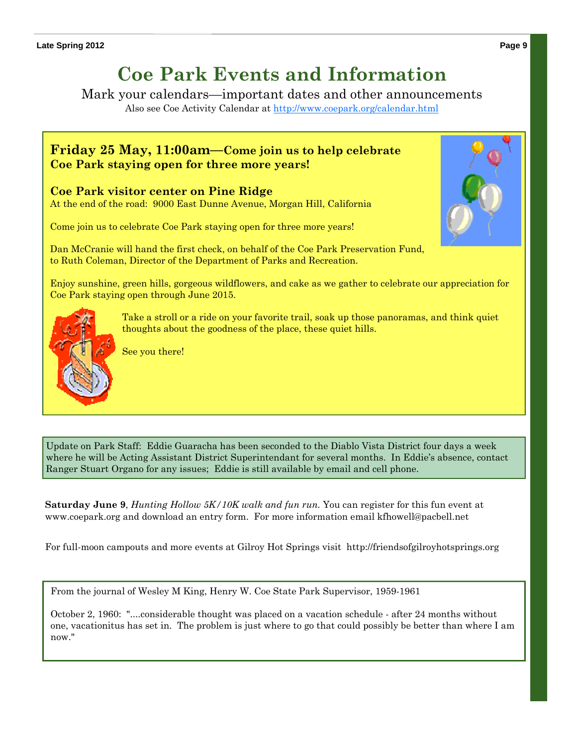### **Coe Park Events and Information**

Mark your calendars—important dates and other announcements

Also see Coe Activity Calendar at http://www.coepark.org/calendar.html

#### **Friday 25 May, 11:00am—Come join us to help celebrate Coe Park staying open for three more years!**

#### **Coe Park visitor center on Pine Ridge**

At the end of the road: 9000 East Dunne Avenue, Morgan Hill, California

Come join us to celebrate Coe Park staying open for three more years!

Dan McCranie will hand the first check, on behalf of the Coe Park Preservation Fund, to Ruth Coleman, Director of the Department of Parks and Recreation.

Enjoy sunshine, green hills, gorgeous wildflowers, and cake as we gather to celebrate our appreciation for Coe Park staying open through June 2015.



Take a stroll or a ride on your favorite trail, soak up those panoramas, and think quiet thoughts about the goodness of the place, these quiet hills.

See you there!

Update on Park Staff: Eddie Guaracha has been seconded to the Diablo Vista District four days a week where he will be Acting Assistant District Superintendant for several months. In Eddie's absence, contact Ranger Stuart Organo for any issues; Eddie is still available by email and cell phone.

**Saturday June 9**, *Hunting Hollow 5K/10K walk and fun run.* You can register for this fun event at www.coepark.org and download an entry form. For more information email kfhowell@pacbell.net

For full-moon campouts and more events at Gilroy Hot Springs visit http://friendsofgilroyhotsprings.org

From the journal of Wesley M King, Henry W. Coe State Park Supervisor, 1959-1961

October 2, 1960: "....considerable thought was placed on a vacation schedule - after 24 months without one, vacationitus has set in. The problem is just where to go that could possibly be better than where I am now."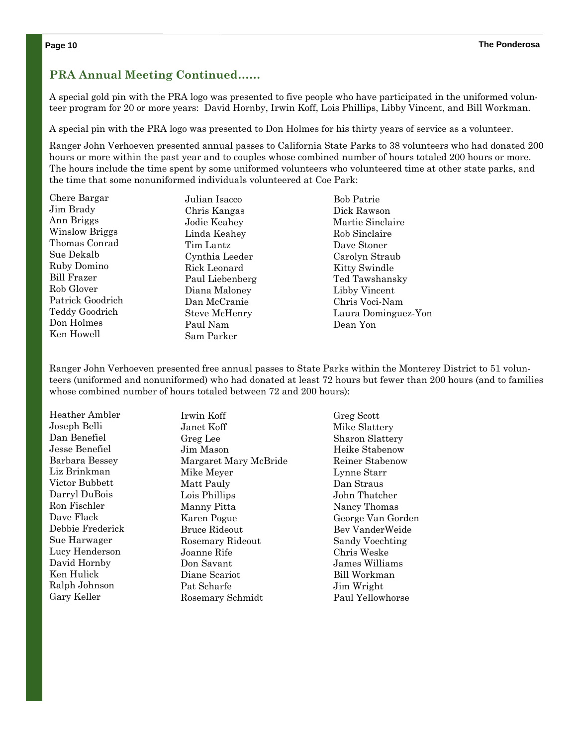#### **PRA Annual Meeting Continued……**

A special gold pin with the PRA logo was presented to five people who have participated in the uniformed volunteer program for 20 or more years: David Hornby, Irwin Koff, Lois Phillips, Libby Vincent, and Bill Workman.

A special pin with the PRA logo was presented to Don Holmes for his thirty years of service as a volunteer.

Ranger John Verhoeven presented annual passes to California State Parks to 38 volunteers who had donated 200 hours or more within the past year and to couples whose combined number of hours totaled 200 hours or more. The hours include the time spent by some uniformed volunteers who volunteered time at other state parks, and the time that some nonuniformed individuals volunteered at Coe Park:

Chere Bargar Jim Brady Ann Briggs Winslow Briggs Thomas Conrad Sue Dekalb Ruby Domino Bill Frazer Rob Glover Patrick Goodrich Teddy Goodrich Don Holmes Ken Howell

Julian Isacco Chris Kangas Jodie Keahey Linda Keahey Tim Lantz Cynthia Leeder Rick Leonard Paul Liebenberg Diana Maloney Dan McCranie Steve McHenry Paul Nam Sam Parker

Bob Patrie Dick Rawson Martie Sinclaire Rob Sinclaire Dave Stoner Carolyn Straub Kitty Swindle Ted Tawshansky Libby Vincent Chris Voci-Nam Laura Dominguez-Yon Dean Yon

Ranger John Verhoeven presented free annual passes to State Parks within the Monterey District to 51 volunteers (uniformed and nonuniformed) who had donated at least 72 hours but fewer than 200 hours (and to families whose combined number of hours totaled between 72 and 200 hours):

| Heather Ambler   | Irwin Koff            | Greg Scott             |
|------------------|-----------------------|------------------------|
| Joseph Belli     | Janet Koff            | Mike Slattery          |
| Dan Benefiel     | Greg Lee              | <b>Sharon Slattery</b> |
| Jesse Benefiel   | Jim Mason             | Heike Stabenow         |
| Barbara Bessey   | Margaret Mary McBride | Reiner Stabenow        |
| Liz Brinkman     | Mike Meyer            | Lynne Starr            |
| Victor Bubbett   | Matt Pauly            | Dan Straus             |
| Darryl DuBois    | Lois Phillips         | John Thatcher          |
| Ron Fischler     | Manny Pitta           | Nancy Thomas           |
| Dave Flack       | Karen Pogue           | George Van Gorden      |
| Debbie Frederick | <b>Bruce Rideout</b>  | Bev VanderWeide        |
| Sue Harwager     | Rosemary Rideout      | Sandy Voechting        |
| Lucy Henderson   | Joanne Rife           | Chris Weske            |
| David Hornby     | Don Savant            | James Williams         |
| Ken Hulick       | Diane Scariot         | <b>Bill Workman</b>    |
| Ralph Johnson    | Pat Scharfe           | Jim Wright             |
| Gary Keller      | Rosemary Schmidt      | Paul Yellowhorse       |
|                  |                       |                        |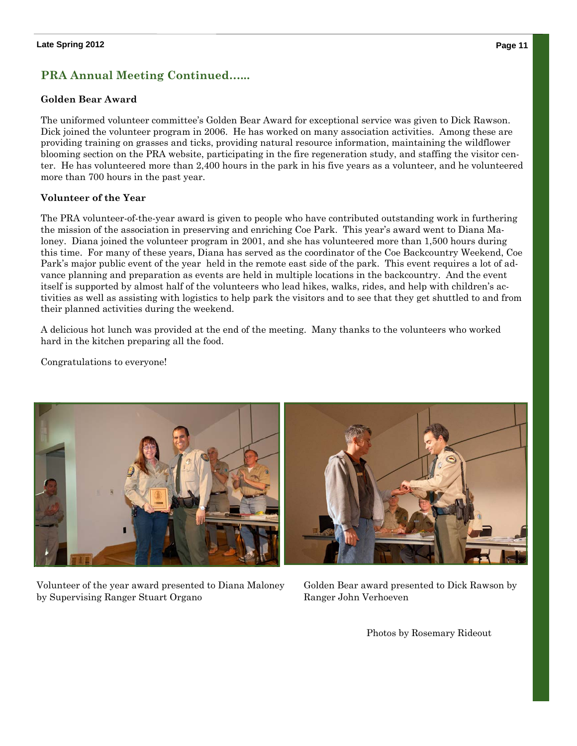#### **PRA Annual Meeting Continued…...**

#### **Golden Bear Award**

The uniformed volunteer committee's Golden Bear Award for exceptional service was given to Dick Rawson. Dick joined the volunteer program in 2006. He has worked on many association activities. Among these are providing training on grasses and ticks, providing natural resource information, maintaining the wildflower blooming section on the PRA website, participating in the fire regeneration study, and staffing the visitor center. He has volunteered more than 2,400 hours in the park in his five years as a volunteer, and he volunteered more than 700 hours in the past year.

#### **Volunteer of the Year**

The PRA volunteer-of-the-year award is given to people who have contributed outstanding work in furthering the mission of the association in preserving and enriching Coe Park. This year's award went to Diana Maloney. Diana joined the volunteer program in 2001, and she has volunteered more than 1,500 hours during this time. For many of these years, Diana has served as the coordinator of the Coe Backcountry Weekend, Coe Park's major public event of the year held in the remote east side of the park. This event requires a lot of advance planning and preparation as events are held in multiple locations in the backcountry. And the event itself is supported by almost half of the volunteers who lead hikes, walks, rides, and help with children's activities as well as assisting with logistics to help park the visitors and to see that they get shuttled to and from their planned activities during the weekend.

A delicious hot lunch was provided at the end of the meeting. Many thanks to the volunteers who worked hard in the kitchen preparing all the food.

Congratulations to everyone!



Volunteer of the year award presented to Diana Maloney by Supervising Ranger Stuart Organo

Golden Bear award presented to Dick Rawson by Ranger John Verhoeven

Photos by Rosemary Rideout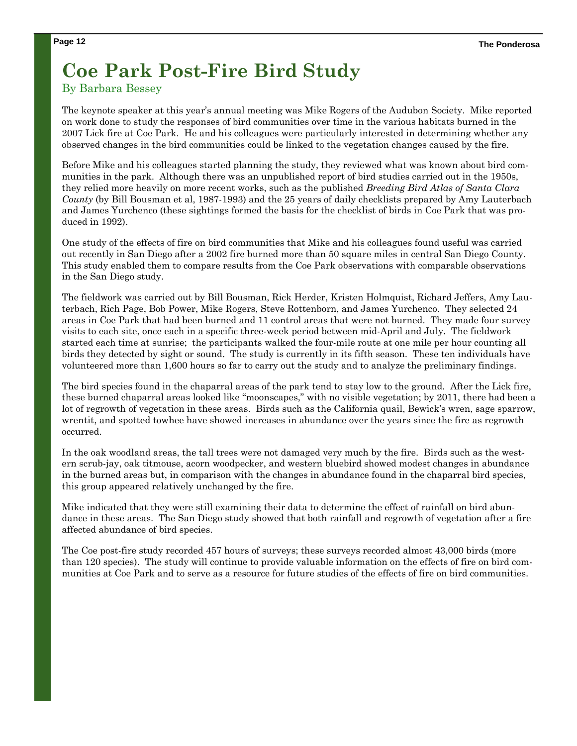### **Coe Park Post-Fire Bird Study**

#### By Barbara Bessey

The keynote speaker at this year's annual meeting was Mike Rogers of the Audubon Society. Mike reported on work done to study the responses of bird communities over time in the various habitats burned in the 2007 Lick fire at Coe Park. He and his colleagues were particularly interested in determining whether any observed changes in the bird communities could be linked to the vegetation changes caused by the fire.

Before Mike and his colleagues started planning the study, they reviewed what was known about bird communities in the park. Although there was an unpublished report of bird studies carried out in the 1950s, they relied more heavily on more recent works, such as the published *Breeding Bird Atlas of Santa Clara County* (by Bill Bousman et al, 1987-1993) and the 25 years of daily checklists prepared by Amy Lauterbach and James Yurchenco (these sightings formed the basis for the checklist of birds in Coe Park that was produced in 1992).

One study of the effects of fire on bird communities that Mike and his colleagues found useful was carried out recently in San Diego after a 2002 fire burned more than 50 square miles in central San Diego County. This study enabled them to compare results from the Coe Park observations with comparable observations in the San Diego study.

The fieldwork was carried out by Bill Bousman, Rick Herder, Kristen Holmquist, Richard Jeffers, Amy Lauterbach, Rich Page, Bob Power, Mike Rogers, Steve Rottenborn, and James Yurchenco. They selected 24 areas in Coe Park that had been burned and 11 control areas that were not burned. They made four survey visits to each site, once each in a specific three-week period between mid-April and July. The fieldwork started each time at sunrise; the participants walked the four-mile route at one mile per hour counting all birds they detected by sight or sound. The study is currently in its fifth season. These ten individuals have volunteered more than 1,600 hours so far to carry out the study and to analyze the preliminary findings.

The bird species found in the chaparral areas of the park tend to stay low to the ground. After the Lick fire, these burned chaparral areas looked like "moonscapes," with no visible vegetation; by 2011, there had been a lot of regrowth of vegetation in these areas. Birds such as the California quail, Bewick's wren, sage sparrow, wrentit, and spotted towhee have showed increases in abundance over the years since the fire as regrowth occurred.

In the oak woodland areas, the tall trees were not damaged very much by the fire. Birds such as the western scrub-jay, oak titmouse, acorn woodpecker, and western bluebird showed modest changes in abundance in the burned areas but, in comparison with the changes in abundance found in the chaparral bird species, this group appeared relatively unchanged by the fire.

Mike indicated that they were still examining their data to determine the effect of rainfall on bird abundance in these areas. The San Diego study showed that both rainfall and regrowth of vegetation after a fire affected abundance of bird species.

The Coe post-fire study recorded 457 hours of surveys; these surveys recorded almost 43,000 birds (more than 120 species). The study will continue to provide valuable information on the effects of fire on bird communities at Coe Park and to serve as a resource for future studies of the effects of fire on bird communities.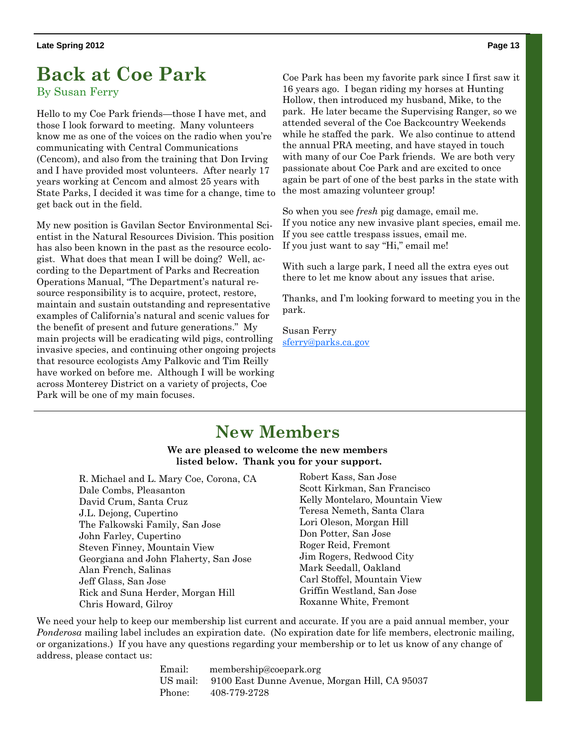### **Back at Coe Park**

#### By Susan Ferry

Hello to my Coe Park friends—those I have met, and those I look forward to meeting. Many volunteers know me as one of the voices on the radio when you're communicating with Central Communications (Cencom), and also from the training that Don Irving and I have provided most volunteers. After nearly 17 years working at Cencom and almost 25 years with State Parks, I decided it was time for a change, time to get back out in the field.

My new position is Gavilan Sector Environmental Scientist in the Natural Resources Division. This position has also been known in the past as the resource ecologist. What does that mean I will be doing? Well, according to the Department of Parks and Recreation Operations Manual, "The Department's natural resource responsibility is to acquire, protect, restore, maintain and sustain outstanding and representative examples of California's natural and scenic values for the benefit of present and future generations." My main projects will be eradicating wild pigs, controlling invasive species, and continuing other ongoing projects that resource ecologists Amy Palkovic and Tim Reilly have worked on before me. Although I will be working across Monterey District on a variety of projects, Coe Park will be one of my main focuses.

Coe Park has been my favorite park since I first saw it 16 years ago. I began riding my horses at Hunting Hollow, then introduced my husband, Mike, to the park. He later became the Supervising Ranger, so we attended several of the Coe Backcountry Weekends while he staffed the park. We also continue to attend the annual PRA meeting, and have stayed in touch with many of our Coe Park friends. We are both very passionate about Coe Park and are excited to once again be part of one of the best parks in the state with the most amazing volunteer group!

So when you see *fresh* pig damage, email me. If you notice any new invasive plant species, email me. If you see cattle trespass issues, email me. If you just want to say "Hi," email me!

With such a large park, I need all the extra eyes out there to let me know about any issues that arise.

Thanks, and I'm looking forward to meeting you in the park.

Susan Ferry sferry@parks.ca.gov

### **New Members**

**We are pleased to welcome the new members listed below. Thank you for your support.** 

R. Michael and L. Mary Coe, Corona, CA Dale Combs, Pleasanton David Crum, Santa Cruz J.L. Dejong, Cupertino The Falkowski Family, San Jose John Farley, Cupertino Steven Finney, Mountain View Georgiana and John Flaherty, San Jose Alan French, Salinas Jeff Glass, San Jose Rick and Suna Herder, Morgan Hill Chris Howard, Gilroy

Robert Kass, San Jose Scott Kirkman, San Francisco Kelly Montelaro, Mountain View Teresa Nemeth, Santa Clara Lori Oleson, Morgan Hill Don Potter, San Jose Roger Reid, Fremont Jim Rogers, Redwood City Mark Seedall, Oakland Carl Stoffel, Mountain View Griffin Westland, San Jose Roxanne White, Fremont

We need your help to keep our membership list current and accurate. If you are a paid annual member, your *Ponderosa* mailing label includes an expiration date. (No expiration date for life members, electronic mailing, or organizations.) If you have any questions regarding your membership or to let us know of any change of address, please contact us:

> Email: membership@coepark.org US mail: 9100 East Dunne Avenue, Morgan Hill, CA 95037 Phone: 408-779-2728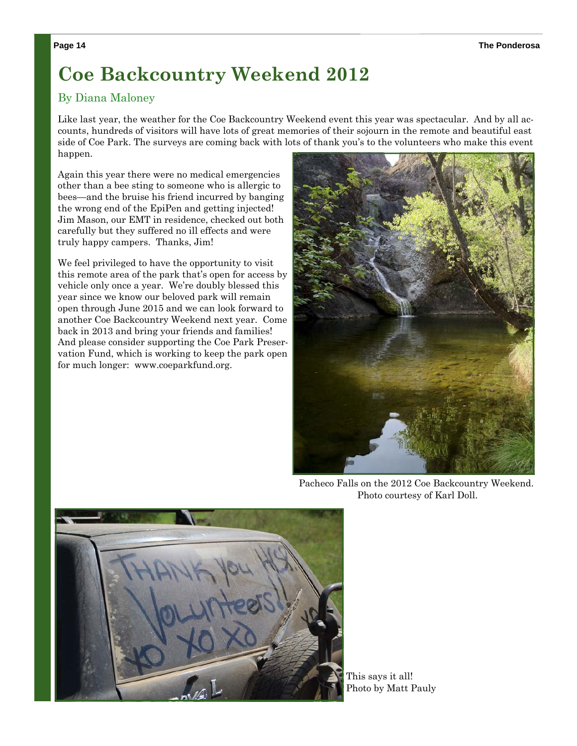### **Coe Backcountry Weekend 2012**

#### By Diana Maloney

Like last year, the weather for the Coe Backcountry Weekend event this year was spectacular. And by all accounts, hundreds of visitors will have lots of great memories of their sojourn in the remote and beautiful east side of Coe Park. The surveys are coming back with lots of thank you's to the volunteers who make this event happen.

Again this year there were no medical emergencies other than a bee sting to someone who is allergic to bees—and the bruise his friend incurred by banging the wrong end of the EpiPen and getting injected! Jim Mason, our EMT in residence, checked out both carefully but they suffered no ill effects and were truly happy campers. Thanks, Jim!

We feel privileged to have the opportunity to visit this remote area of the park that's open for access by vehicle only once a year. We're doubly blessed this year since we know our beloved park will remain open through June 2015 and we can look forward to another Coe Backcountry Weekend next year. Come back in 2013 and bring your friends and families! And please consider supporting the Coe Park Preservation Fund, which is working to keep the park open for much longer: www.coeparkfund.org.



Pacheco Falls on the 2012 Coe Backcountry Weekend. Photo courtesy of Karl Doll.



This says it all! Photo by Matt Pauly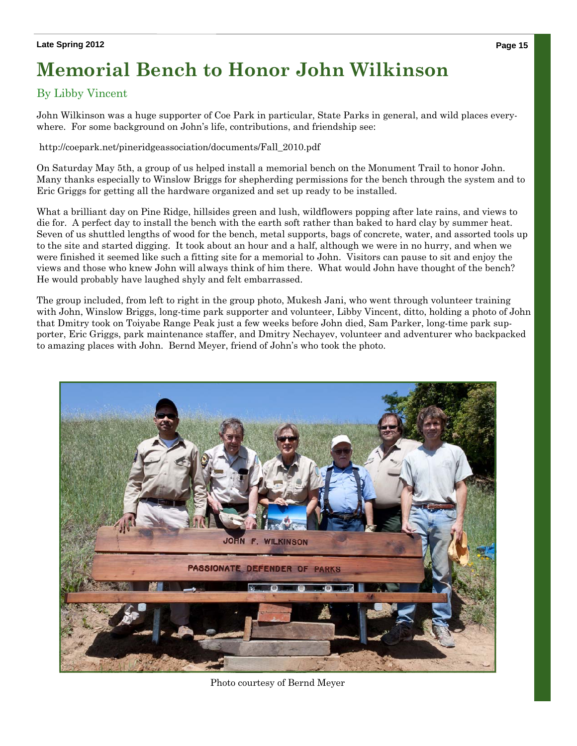### **Memorial Bench to Honor John Wilkinson**

#### By Libby Vincent

John Wilkinson was a huge supporter of Coe Park in particular, State Parks in general, and wild places everywhere. For some background on John's life, contributions, and friendship see:

http://coepark.net/pineridgeassociation/documents/Fall\_2010.pdf

On Saturday May 5th, a group of us helped install a memorial bench on the Monument Trail to honor John. Many thanks especially to Winslow Briggs for shepherding permissions for the bench through the system and to Eric Griggs for getting all the hardware organized and set up ready to be installed.

What a brilliant day on Pine Ridge, hillsides green and lush, wildflowers popping after late rains, and views to die for. A perfect day to install the bench with the earth soft rather than baked to hard clay by summer heat. Seven of us shuttled lengths of wood for the bench, metal supports, bags of concrete, water, and assorted tools up to the site and started digging. It took about an hour and a half, although we were in no hurry, and when we were finished it seemed like such a fitting site for a memorial to John. Visitors can pause to sit and enjoy the views and those who knew John will always think of him there. What would John have thought of the bench? He would probably have laughed shyly and felt embarrassed.

The group included, from left to right in the group photo, Mukesh Jani, who went through volunteer training with John, Winslow Briggs, long-time park supporter and volunteer, Libby Vincent, ditto, holding a photo of John that Dmitry took on Toiyabe Range Peak just a few weeks before John died, Sam Parker, long-time park supporter, Eric Griggs, park maintenance staffer, and Dmitry Nechayev, volunteer and adventurer who backpacked to amazing places with John. Bernd Meyer, friend of John's who took the photo.



Photo courtesy of Bernd Meyer